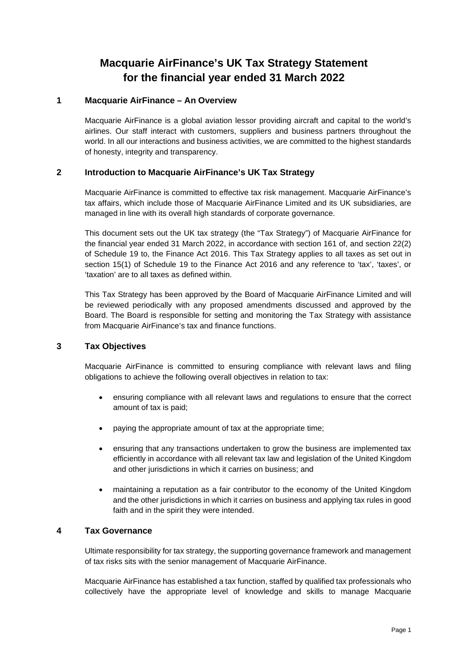# **Macquarie AirFinance's UK Tax Strategy Statement for the financial year ended 31 March 2022**

# **1 Macquarie AirFinance – An Overview**

Macquarie AirFinance is a global aviation lessor providing aircraft and capital to the world's airlines. Our staff interact with customers, suppliers and business partners throughout the world. In all our interactions and business activities, we are committed to the highest standards of honesty, integrity and transparency.

# **2 Introduction to Macquarie AirFinance's UK Tax Strategy**

Macquarie AirFinance is committed to effective tax risk management. Macquarie AirFinance's tax affairs, which include those of Macquarie AirFinance Limited and its UK subsidiaries, are managed in line with its overall high standards of corporate governance.

This document sets out the UK tax strategy (the "Tax Strategy") of Macquarie AirFinance for the financial year ended 31 March 2022, in accordance with section 161 of, and section 22(2) of Schedule 19 to, the Finance Act 2016. This Tax Strategy applies to all taxes as set out in section 15(1) of Schedule 19 to the Finance Act 2016 and any reference to 'tax', 'taxes', or 'taxation' are to all taxes as defined within.

This Tax Strategy has been approved by the Board of Macquarie AirFinance Limited and will be reviewed periodically with any proposed amendments discussed and approved by the Board. The Board is responsible for setting and monitoring the Tax Strategy with assistance from Macquarie AirFinance's tax and finance functions.

#### **3 Tax Objectives**

Macquarie AirFinance is committed to ensuring compliance with relevant laws and filing obligations to achieve the following overall objectives in relation to tax:

- ensuring compliance with all relevant laws and regulations to ensure that the correct amount of tax is paid;
- paying the appropriate amount of tax at the appropriate time;
- ensuring that any transactions undertaken to grow the business are implemented tax efficiently in accordance with all relevant tax law and legislation of the United Kingdom and other jurisdictions in which it carries on business; and
- maintaining a reputation as a fair contributor to the economy of the United Kingdom and the other jurisdictions in which it carries on business and applying tax rules in good faith and in the spirit they were intended.

# **4 Tax Governance**

Ultimate responsibility for tax strategy, the supporting governance framework and management of tax risks sits with the senior management of Macquarie AirFinance.

Macquarie AirFinance has established a tax function, staffed by qualified tax professionals who collectively have the appropriate level of knowledge and skills to manage Macquarie